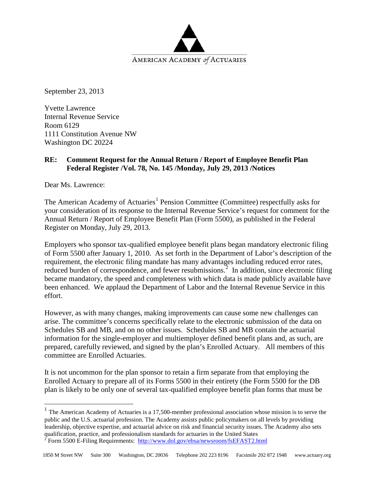

September 23, 2013

Yvette Lawrence Internal Revenue Service Room 6129 1111 Constitution Avenue NW Washington DC 20224

## **RE: Comment Request for the Annual Return / Report of Employee Benefit Plan Federal Register /Vol. 78, No. 145 /Monday, July 29, 2013 /Notices**

Dear Ms. Lawrence:

The American Academy of Actuaries<sup>[1](#page-0-0)</sup> Pension Committee (Committee) respectfully asks for your consideration of its response to the Internal Revenue Service's request for comment for the Annual Return / Report of Employee Benefit Plan (Form 5500), as published in the Federal Register on Monday, July 29, 2013.

Employers who sponsor tax-qualified employee benefit plans began mandatory electronic filing of Form 5500 after January 1, 2010. As set forth in the Department of Labor's description of the requirement, the electronic filing mandate has many advantages including reduced error rates, reduced burden of correspondence, and fewer resubmissions.<sup>[2](#page-0-1)</sup> In addition, since electronic filing became mandatory, the speed and completeness with which data is made publicly available have been enhanced. We applaud the Department of Labor and the Internal Revenue Service in this effort.

However, as with many changes, making improvements can cause some new challenges can arise. The committee's concerns specifically relate to the electronic submission of the data on Schedules SB and MB, and on no other issues. Schedules SB and MB contain the actuarial information for the single-employer and multiemployer defined benefit plans and, as such, are prepared, carefully reviewed, and signed by the plan's Enrolled Actuary. All members of this committee are Enrolled Actuaries.

It is not uncommon for the plan sponsor to retain a firm separate from that employing the Enrolled Actuary to prepare all of its Forms 5500 in their entirety (the Form 5500 for the DB plan is likely to be only one of several tax-qualified employee benefit plan forms that must be

<span id="page-0-0"></span><sup>&</sup>lt;sup>1</sup> The American Academy of Actuaries is a 17,500-member professional association whose mission is to serve the public and the U.S. actuarial profession. The Academy assists public policymakers on all levels by providing leadership, objective expertise, and actuarial advice on risk and financial security issues. The Academy also sets qualification, practice, and professionalism standards for actuaries in the United States

<span id="page-0-1"></span><sup>&</sup>lt;sup>2</sup> Form 5500 E-Filing Requirements:  $\frac{http://www.dol.gov/ebsa/newsroom/fsEFAST2.html}{http://www.dol.gov/ebsa/newsroom/fsEFAST2.html}$  $\frac{http://www.dol.gov/ebsa/newsroom/fsEFAST2.html}{http://www.dol.gov/ebsa/newsroom/fsEFAST2.html}$  $\frac{http://www.dol.gov/ebsa/newsroom/fsEFAST2.html}{http://www.dol.gov/ebsa/newsroom/fsEFAST2.html}$